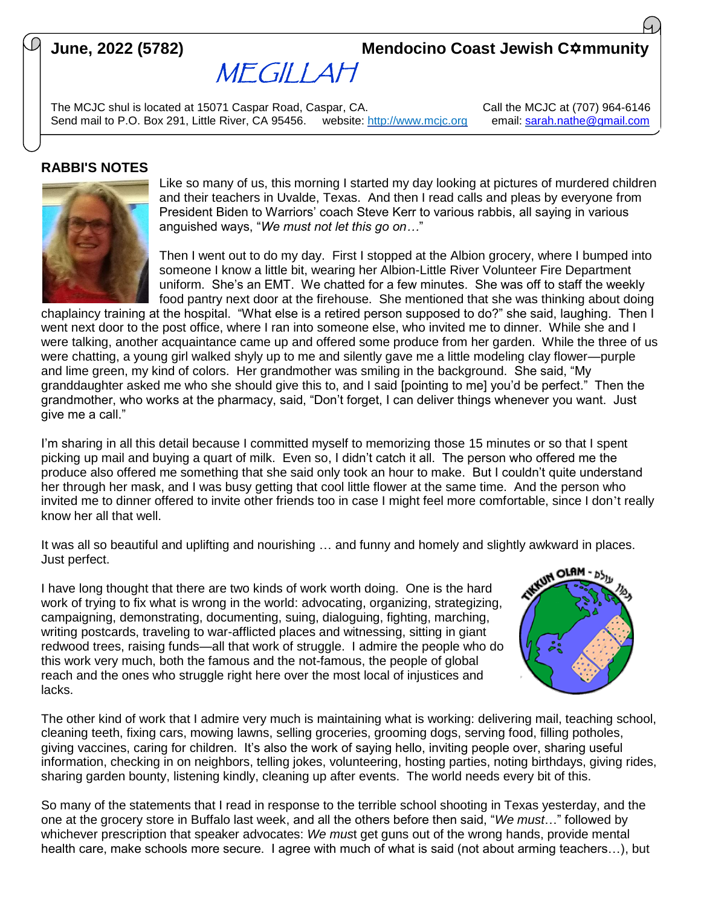# **June, 2022 (5782) Mendocino Coast Jewish C** $\hat{\bm{\alpha}}$ **mmunity**

MEGILLAH

The MCJC shul is located at 15071 Caspar Road, Caspar, CA. Call Call the MCJC at (707) 964-6146 Send mail to P.O. Box 291, Little River, CA 95456. website: [http://www.mcjc.org](http://www.mcjc.org/) email: [sarah.nathe@gmail.com](mailto:sarah.nathe@gmail.com)

### **RABBI'S NOTES**



Like so many of us, this morning I started my day looking at pictures of murdered children and their teachers in Uvalde, Texas. And then I read calls and pleas by everyone from President Biden to Warriors' coach Steve Kerr to various rabbis, all saying in various anguished ways, "*We must not let this go on…*"

Then I went out to do my day. First I stopped at the Albion grocery, where I bumped into someone I know a little bit, wearing her Albion-Little River Volunteer Fire Department uniform. She's an EMT. We chatted for a few minutes. She was off to staff the weekly food pantry next door at the firehouse. She mentioned that she was thinking about doing

chaplaincy training at the hospital. "What else is a retired person supposed to do?" she said, laughing. Then I went next door to the post office, where I ran into someone else, who invited me to dinner. While she and I were talking, another acquaintance came up and offered some produce from her garden. While the three of us were chatting, a young girl walked shyly up to me and silently gave me a little modeling clay flower—purple and lime green, my kind of colors. Her grandmother was smiling in the background. She said, "My granddaughter asked me who she should give this to, and I said [pointing to me] you'd be perfect." Then the grandmother, who works at the pharmacy, said, "Don't forget, I can deliver things whenever you want. Just give me a call."

I'm sharing in all this detail because I committed myself to memorizing those 15 minutes or so that I spent picking up mail and buying a quart of milk. Even so, I didn't catch it all. The person who offered me the produce also offered me something that she said only took an hour to make. But I couldn't quite understand her through her mask, and I was busy getting that cool little flower at the same time. And the person who invited me to dinner offered to invite other friends too in case I might feel more comfortable, since I don't really know her all that well.

It was all so beautiful and uplifting and nourishing … and funny and homely and slightly awkward in places. Just perfect.

I have long thought that there are two kinds of work worth doing. One is the hard work of trying to fix what is wrong in the world: advocating, organizing, strategizing, campaigning, demonstrating, documenting, suing, dialoguing, fighting, marching, writing postcards, traveling to war-afflicted places and witnessing, sitting in giant redwood trees, raising funds—all that work of struggle. I admire the people who do this work very much, both the famous and the not-famous, the people of global reach and the ones who struggle right here over the most local of injustices and lacks.



The other kind of work that I admire very much is maintaining what is working: delivering mail, teaching school, cleaning teeth, fixing cars, mowing lawns, selling groceries, grooming dogs, serving food, filling potholes, giving vaccines, caring for children. It's also the work of saying hello, inviting people over, sharing useful information, checking in on neighbors, telling jokes, volunteering, hosting parties, noting birthdays, giving rides, sharing garden bounty, listening kindly, cleaning up after events. The world needs every bit of this.

So many of the statements that I read in response to the terrible school shooting in Texas yesterday, and the one at the grocery store in Buffalo last week, and all the others before then said, "*We must*…" followed by whichever prescription that speaker advocates: *We mus*t get guns out of the wrong hands, provide mental health care, make schools more secure. I agree with much of what is said (not about arming teachers...), but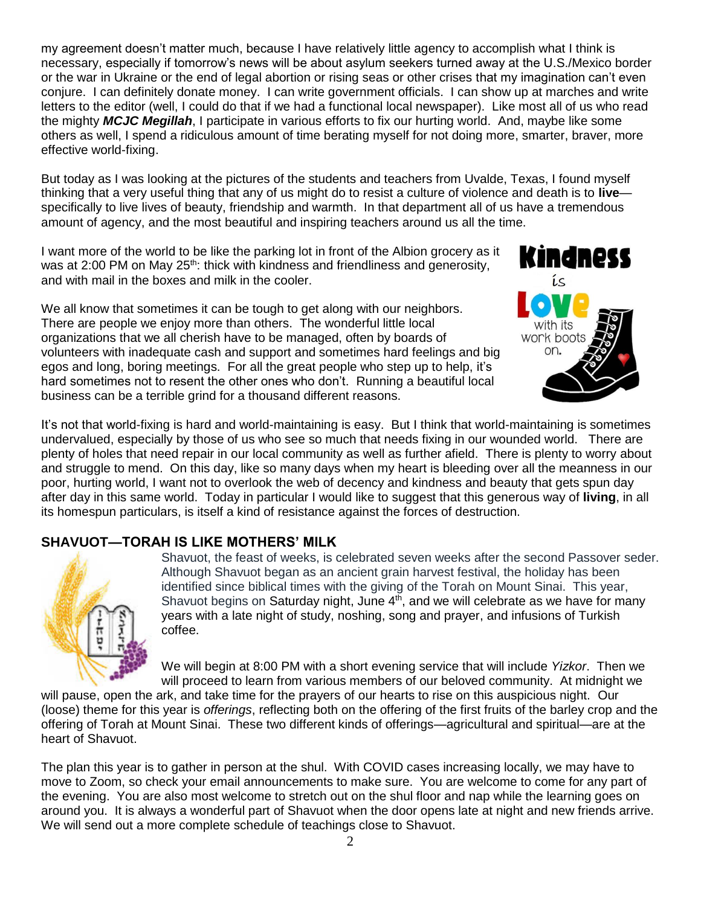my agreement doesn't matter much, because I have relatively little agency to accomplish what I think is necessary, especially if tomorrow's news will be about asylum seekers turned away at the U.S./Mexico border or the war in Ukraine or the end of legal abortion or rising seas or other crises that my imagination can't even conjure. I can definitely donate money. I can write government officials. I can show up at marches and write letters to the editor (well, I could do that if we had a functional local newspaper). Like most all of us who read the mighty *MCJC Megillah*, I participate in various efforts to fix our hurting world. And, maybe like some others as well, I spend a ridiculous amount of time berating myself for not doing more, smarter, braver, more effective world-fixing.

But today as I was looking at the pictures of the students and teachers from Uvalde, Texas, I found myself thinking that a very useful thing that any of us might do to resist a culture of violence and death is to **live** specifically to live lives of beauty, friendship and warmth. In that department all of us have a tremendous amount of agency, and the most beautiful and inspiring teachers around us all the time.

I want more of the world to be like the parking lot in front of the Albion grocery as it was at 2:00 PM on May 25<sup>th</sup>: thick with kindness and friendliness and generosity, and with mail in the boxes and milk in the cooler.

We all know that sometimes it can be tough to get along with our neighbors. There are people we enjoy more than others. The wonderful little local organizations that we all cherish have to be managed, often by boards of volunteers with inadequate cash and support and sometimes hard feelings and big egos and long, boring meetings. For all the great people who step up to help, it's hard sometimes not to resent the other ones who don't. Running a beautiful local business can be a terrible grind for a thousand different reasons.



It's not that world-fixing is hard and world-maintaining is easy. But I think that world-maintaining is sometimes undervalued, especially by those of us who see so much that needs fixing in our wounded world. There are plenty of holes that need repair in our local community as well as further afield. There is plenty to worry about and struggle to mend. On this day, like so many days when my heart is bleeding over all the meanness in our poor, hurting world, I want not to overlook the web of decency and kindness and beauty that gets spun day after day in this same world. Today in particular I would like to suggest that this generous way of **living**, in all its homespun particulars, is itself a kind of resistance against the forces of destruction.

# **SHAVUOT—TORAH IS LIKE MOTHERS' MILK**



Shavuot, the feast of weeks, is celebrated seven weeks after the second Passover seder. Although Shavuot began as an ancient grain harvest festival, the holiday has been identified since biblical times with the [giving of the Torah](https://www.myjewishlearning.com/holidays/Jewish_Holidays/Shavuot/History/Rabbinic.shtml) on Mount Sinai. This year, Shavuot begins on Saturday night, June 4<sup>th</sup>, and we will celebrate as we have for many years with a late night of study, noshing, song and prayer, and infusions of Turkish coffee.

We will begin at 8:00 PM with a short evening service that will include *Yizkor*. Then we will proceed to learn from various members of our beloved community. At midnight we

will pause, open the ark, and take time for the prayers of our hearts to rise on this auspicious night. Our (loose) theme for this year is *offerings*, reflecting both on the offering of the first fruits of the barley crop and the offering of Torah at Mount Sinai. These two different kinds of offerings—agricultural and spiritual—are at the heart of Shavuot.

The plan this year is to gather in person at the shul. With COVID cases increasing locally, we may have to move to Zoom, so check your email announcements to make sure. You are welcome to come for any part of the evening. You are also most welcome to stretch out on the shul floor and nap while the learning goes on around you. It is always a wonderful part of Shavuot when the door opens late at night and new friends arrive. We will send out a more complete schedule of teachings close to Shavuot.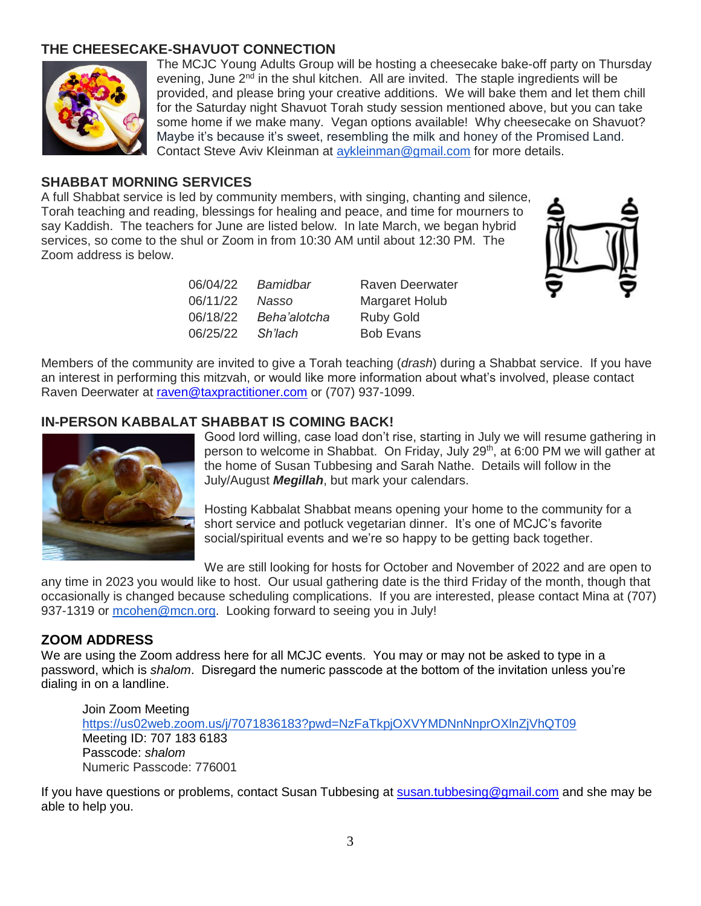#### **THE CHEESECAKE-SHAVUOT CONNECTION**



The MCJC Young Adults Group will be hosting a cheesecake bake-off party on Thursday evening, June  $2<sup>nd</sup>$  in the shul kitchen. All are invited. The staple ingredients will be provided, and please bring your creative additions. We will bake them and let them chill for the Saturday night Shavuot Torah study session mentioned above, but you can take some home if we make many. Vegan options available! Why cheesecake on Shavuot? Maybe it's because it's sweet, resembling the milk and honey of the Promised Land. Contact Steve Aviv Kleinman at [aykleinman@gmail.com](mailto:aykleinman@gmail.com) for more details.

#### **SHABBAT MORNING SERVICES**

A full Shabbat service is led by community members, with singing, chanting and silence, Torah teaching and reading, blessings for healing and peace, and time for mourners to say Kaddish. The teachers for June are listed below. In late March, we began hybrid services, so come to the shul or Zoom in from 10:30 AM until about 12:30 PM. The Zoom address is below.

| Bamidbar     | <b>Raven Deerwater</b> |
|--------------|------------------------|
| Nasso        | <b>Margaret Holub</b>  |
| Beha'alotcha | <b>Ruby Gold</b>       |
| Sh'lach      | <b>Bob Evans</b>       |
|              |                        |



Members of the community are invited to give a Torah teaching (*drash*) during a Shabbat service. If you have an interest in performing this mitzvah, or would like more information about what's involved, please contact Raven Deerwater at [raven@taxpractitioner.com](mailto:raven@taxpractitioner.com) or (707) 937-1099.

#### **IN-PERSON KABBALAT SHABBAT IS COMING BACK!**



Good lord willing, case load don't rise, starting in July we will resume gathering in person to welcome in Shabbat. On Friday, July 29<sup>th</sup>, at 6:00 PM we will gather at the home of Susan Tubbesing and Sarah Nathe. Details will follow in the July/August *Megillah*, but mark your calendars.

Hosting Kabbalat Shabbat means opening your home to the community for a short service and potluck vegetarian dinner. It's one of MCJC's favorite social/spiritual events and we're so happy to be getting back together.

We are still looking for hosts for October and November of 2022 and are open to any time in 2023 you would like to host. Our usual gathering date is the third Friday of the month, though that occasionally is changed because scheduling complications. If you are interested, please contact Mina at (707) 937-1319 or [mcohen@mcn.org.](mailto:mcohen@mcn.org) Looking forward to seeing you in July!

#### **ZOOM ADDRESS**

We are using the Zoom address here for all MCJC events. You may or may not be asked to type in a password, which is *shalom*. Disregard the numeric passcode at the bottom of the invitation unless you're dialing in on a landline.

Join Zoom Meeting <https://us02web.zoom.us/j/7071836183?pwd=NzFaTkpjOXVYMDNnNnprOXlnZjVhQT09> Meeting ID: 707 183 6183 Passcode: *shalom* Numeric Passcode: 776001

If you have questions or problems, contact Susan Tubbesing at **susan.tubbesing@gmail.com** and she may be able to help you.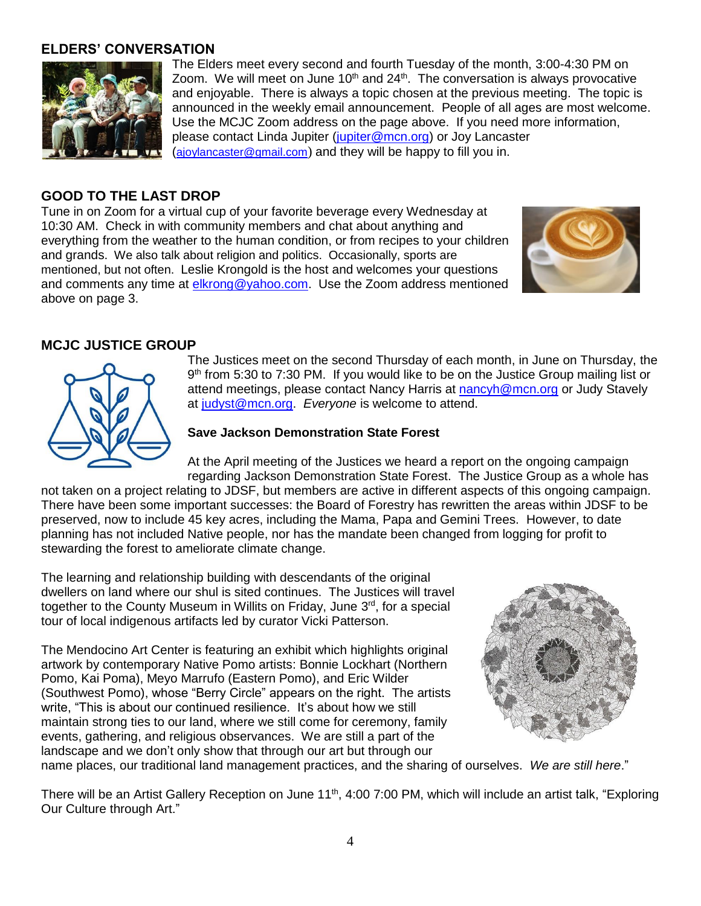#### **ELDERS' CONVERSATION**



The Elders meet every second and fourth Tuesday of the month, 3:00-4:30 PM on Zoom. We will meet on June 10<sup>th</sup> and 24<sup>th</sup>. The conversation is always provocative and enjoyable. There is always a topic chosen at the previous meeting. The topic is announced in the weekly email announcement. People of all ages are most welcome. Use the MCJC Zoom address on the page above. If you need more information, please contact Linda Jupiter (jupiter@mcn.org) or Joy Lancaster ([ajoylancaster@gmail.com](mailto:ajoylancaster@gmail.com)) and they will be happy to fill you in.

### **GOOD TO THE LAST DROP**

Tune in on Zoom for a virtual cup of your favorite beverage every Wednesday at 10:30 AM. Check in with community members and chat about anything and everything from the weather to the human condition, or from recipes to your children and grands. We also talk about religion and politics. Occasionally, sports are mentioned, but not often. Leslie Krongold is the host and welcomes your questions and comments any time at [elkrong@yahoo.com.](mailto:elkrong@yahoo.com) Use the Zoom address mentioned above on page 3.



# **MCJC JUSTICE GROUP**



The Justices meet on the second Thursday of each month, in June on Thursday, the 9<sup>th</sup> from 5:30 to 7:30 PM. If you would like to be on the Justice Group mailing list or attend meetings, please contact Nancy Harris at [nancyh@mcn.org](mailto:nancyh@mcn.org) or Judy Stavely at [judyst@mcn.org.](mailto:judyst@mcn.org) *Everyone* is welcome to attend.

#### **Save Jackson Demonstration State Forest**

At the April meeting of the Justices we heard a report on the ongoing campaign regarding Jackson Demonstration State Forest. The Justice Group as a whole has

not taken on a project relating to JDSF, but members are active in different aspects of this ongoing campaign. There have been some important successes: the Board of Forestry has rewritten the areas within JDSF to be preserved, now to include 45 key acres, including the Mama, Papa and Gemini Trees. However, to date planning has not included Native people, nor has the mandate been changed from logging for profit to stewarding the forest to ameliorate climate change.

The learning and relationship building with descendants of the original dwellers on land where our shul is sited continues. The Justices will travel together to the County Museum in Willits on Friday, June 3<sup>rd</sup>, for a special tour of local indigenous artifacts led by curator Vicki Patterson.

The Mendocino Art Center is featuring an exhibit which highlights original artwork by contemporary Native Pomo artists: Bonnie Lockhart (Northern Pomo, Kai Poma), Meyo Marrufo (Eastern Pomo), and Eric Wilder (Southwest Pomo), whose "Berry Circle" appears on the right. The artists write, "This is about our continued resilience. It's about how we still maintain strong ties to our land, where we still come for ceremony, family events, gathering, and religious observances. We are still a part of the landscape and we don't only show that through our art but through our



name places, our traditional land management practices, and the sharing of ourselves. *We are still here*."

There will be an Artist Gallery Reception on June 11<sup>th</sup>, 4:00 7:00 PM, which will include an artist talk, "Exploring Our Culture through Art."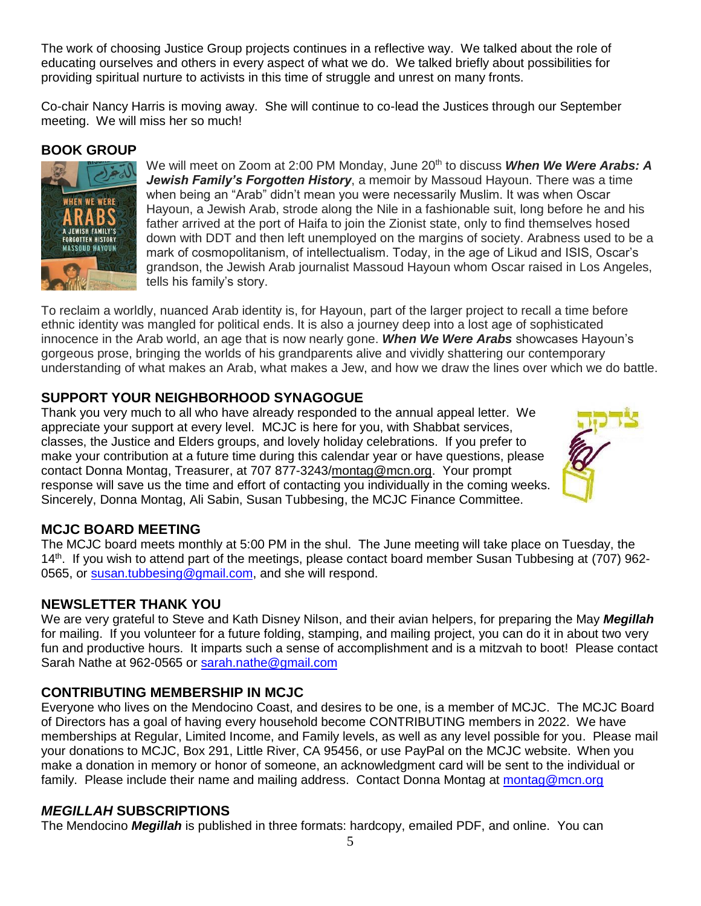The work of choosing Justice Group projects continues in a reflective way. We talked about the role of educating ourselves and others in every aspect of what we do. We talked briefly about possibilities for providing spiritual nurture to activists in this time of struggle and unrest on many fronts.

Co-chair Nancy Harris is moving away. She will continue to co-lead the Justices through our September meeting. We will miss her so much!

#### **BOOK GROUP**



We will meet on Zoom at 2:00 PM Monday, June 20th to discuss *When We Were Arabs: A Jewish Family's Forgotten History*, a memoir by Massoud Hayoun. There was a time when being an "Arab" didn't mean you were necessarily Muslim. It was when Oscar Hayoun, a Jewish Arab, strode along the Nile in a fashionable suit, long before he and his father arrived at the port of Haifa to join the Zionist state, only to find themselves hosed down with DDT and then left unemployed on the margins of society. Arabness used to be a mark of cosmopolitanism, of intellectualism. Today, in the age of Likud and ISIS, Oscar's grandson, the Jewish Arab journalist Massoud Hayoun whom Oscar raised in Los Angeles, tells his family's story.

To reclaim a worldly, nuanced Arab identity is, for Hayoun, part of the larger project to recall a time before ethnic identity was mangled for political ends. It is also a journey deep into a lost age of sophisticated innocence in the Arab world, an age that is now nearly gone. *When We Were Arabs* showcases Hayoun's gorgeous prose, bringing the worlds of his grandparents alive and vividly shattering our contemporary understanding of what makes an Arab, what makes a Jew, and how we draw the lines over which we do battle.

# **SUPPORT YOUR NEIGHBORHOOD SYNAGOGUE**

Thank you very much to all who have already responded to the annual appeal letter. We appreciate your support at every level. MCJC is here for you, with Shabbat services, classes, the Justice and Elders groups, and lovely holiday celebrations. If you prefer to make your contribution at a future time during this calendar year or have questions, please contact Donna Montag, Treasurer, at 707 877-3243[/montag@mcn.org.](mailto:montag@mcn.org) Your prompt response will save us the time and effort of contacting you individually in the coming weeks. Sincerely, Donna Montag, Ali Sabin, Susan Tubbesing, the MCJC Finance Committee.



# **MCJC BOARD MEETING**

The MCJC board meets monthly at 5:00 PM in the shul. The June meeting will take place on Tuesday, the 14<sup>th</sup>. If you wish to attend part of the meetings, please contact board member Susan Tubbesing at (707) 962-0565, or susan.tubbesing@gmail.com, and she will respond.

# **NEWSLETTER THANK YOU**

We are very grateful to Steve and Kath Disney Nilson, and their avian helpers, for preparing the May *Megillah* for mailing. If you volunteer for a future folding, stamping, and mailing project, you can do it in about two very fun and productive hours. It imparts such a sense of accomplishment and is a mitzvah to boot! Please contact Sarah Nathe at 962-0565 or [sarah.nathe@gmail.com](mailto:sarah.nathe@gmail.com)

# **CONTRIBUTING MEMBERSHIP IN MCJC**

Everyone who lives on the Mendocino Coast, and desires to be one, is a member of MCJC. The MCJC Board of Directors has a goal of having every household become CONTRIBUTING members in 2022. We have memberships at Regular, Limited Income, and Family levels, as well as any level possible for you. Please mail your donations to MCJC, Box 291, Little River, CA 95456, or use PayPal on the MCJC website. When you make a donation in memory or honor of someone, an acknowledgment card will be sent to the individual or family. Please include their name and mailing address. Contact Donna Montag at montag@mcn.org

#### *MEGILLAH* **SUBSCRIPTIONS**

The Mendocino *Megillah* is published in three formats: hardcopy, emailed PDF, and online. You can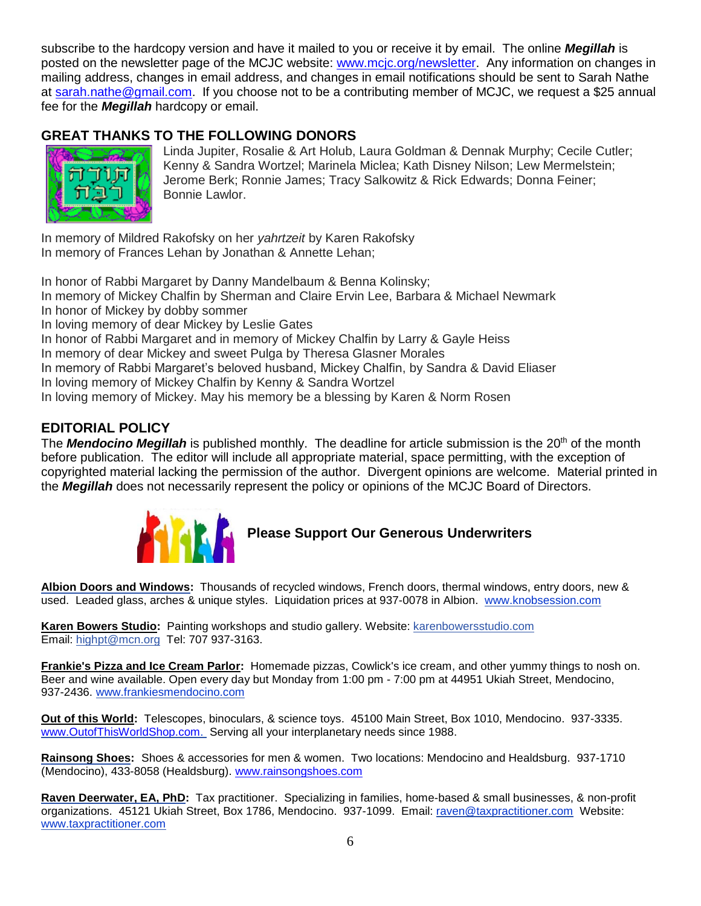subscribe to the hardcopy version and have it mailed to you or receive it by email. The online *Megillah* is posted on the newsletter page of the MCJC website: [www.mcjc.org/newsletter.](http://www.mcjc.org/newsletter) Any information on changes in mailing address, changes in email address, and changes in email notifications should be sent to Sarah Nathe at sarah.nathe@gmail.com. If you choose not to be a contributing member of MCJC, we request a \$25 annual fee for the *Megillah* hardcopy or email.

# **GREAT THANKS TO THE FOLLOWING DONORS**



Linda Jupiter, Rosalie & Art Holub, Laura Goldman & Dennak Murphy; Cecile Cutler; Kenny & Sandra Wortzel; Marinela Miclea; Kath Disney Nilson; Lew Mermelstein; Jerome Berk; Ronnie James; Tracy Salkowitz & Rick Edwards; Donna Feiner; Bonnie Lawlor.

In memory of Mildred Rakofsky on her *yahrtzeit* by Karen Rakofsky In memory of Frances Lehan by Jonathan & Annette Lehan;

In honor of Rabbi Margaret by Danny Mandelbaum & Benna Kolinsky; In memory of Mickey Chalfin by Sherman and Claire Ervin Lee, Barbara & Michael Newmark In honor of Mickey by dobby sommer In loving memory of dear Mickey by Leslie Gates In honor of Rabbi Margaret and in memory of Mickey Chalfin by Larry & Gayle Heiss In memory of dear Mickey and sweet Pulga by Theresa Glasner Morales

In memory of Rabbi Margaret's beloved husband, Mickey Chalfin, by Sandra & David Eliaser

In loving memory of Mickey Chalfin by Kenny & Sandra Wortzel

In loving memory of Mickey. May his memory be a blessing by Karen & Norm Rosen

# **EDITORIAL POLICY**

The **Mendocino Megillah** is published monthly. The deadline for article submission is the 20<sup>th</sup> of the month before publication. The editor will include all appropriate material, space permitting, with the exception of copyrighted material lacking the permission of the author. Divergent opinions are welcome. Material printed in the *Megillah* does not necessarily represent the policy or opinions of the MCJC Board of Directors.



# **Please Support Our Generous Underwriters**

**[Albion Doors and Windows:](http://www.knobsession.com/)** Thousands of recycled windows, French doors, thermal windows, entry doors, new & used. Leaded glass, arches & unique styles. Liquidation prices at 937-0078 in Albion. [www.knobsession.com](http://www.knobsession.com/)

**Karen Bowers Studio:** Painting workshops and studio gallery. Website: [karenbowersstudio.com](http://karenbowersstudio.com/) Email: [highpt@mcn.org](mailto:highpt@mcn.org) Tel: 707 937-3163.

**[Frankie's Pizza and Ice Cream Parlor:](http://www.frankiesmendocino.com/)** Homemade pizzas, Cowlick's ice cream, and other yummy things to nosh on. Beer and wine available. Open every day but Monday from 1:00 pm - 7:00 pm at 44951 Ukiah Street, Mendocino, 937-2436. [www.frankiesmendocino.com](http://www.frankiesmendocino.com/)

**Out of this World:** Telescopes, binoculars, & science toys. 45100 Main Street, Box 1010, Mendocino. 937-3335. [www.OutofThisWorldShop.com.](http://www.outofthisworldshop.com/) Serving all your interplanetary needs since 1988.

**[Rainsong Shoes:](http://www.rainsongshoes.com/)** Shoes & accessories for men & women. Two locations: Mendocino and Healdsburg. 937-1710 (Mendocino), 433-8058 (Healdsburg). www.rainsongshoes.com

**Raven Deerwater, EA, PhD:** Tax practitioner. Specializing in families, home-based & small businesses, & non-profit organizations. 45121 Ukiah Street, Box 1786, Mendocino. 937-1099. Email: [raven@taxpractitioner.com](mailto:raven@taxpractitioner.com) Website: [www.taxpractitioner.com](http://www.taxpractitioner.com/)